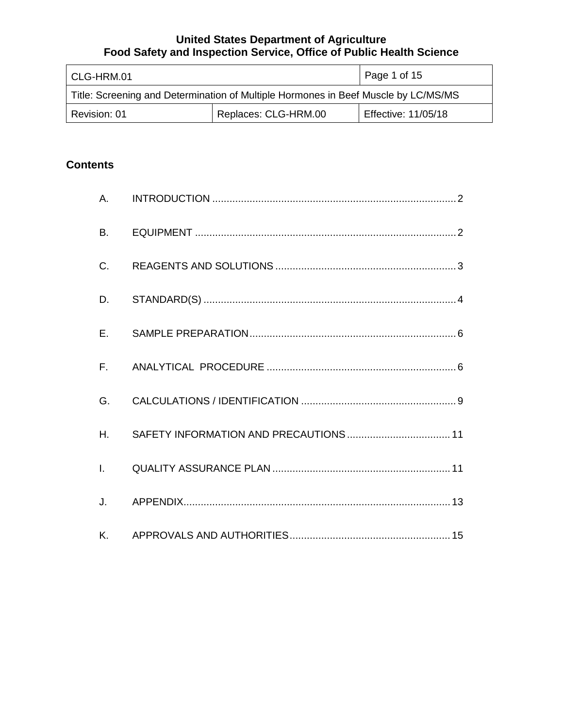| l CLG-HRM.01                                                                       |  | Page 1 of 15        |
|------------------------------------------------------------------------------------|--|---------------------|
| Title: Screening and Determination of Multiple Hormones in Beef Muscle by LC/MS/MS |  |                     |
| Replaces: CLG-HRM.00<br>Revision: 01                                               |  | Effective: 11/05/18 |

# **Contents**

| A.           |  |
|--------------|--|
| <b>B.</b>    |  |
| C.           |  |
| D.           |  |
| E.           |  |
|              |  |
| G.           |  |
| H.           |  |
| $\mathbf{L}$ |  |
| J.           |  |
| Κ.           |  |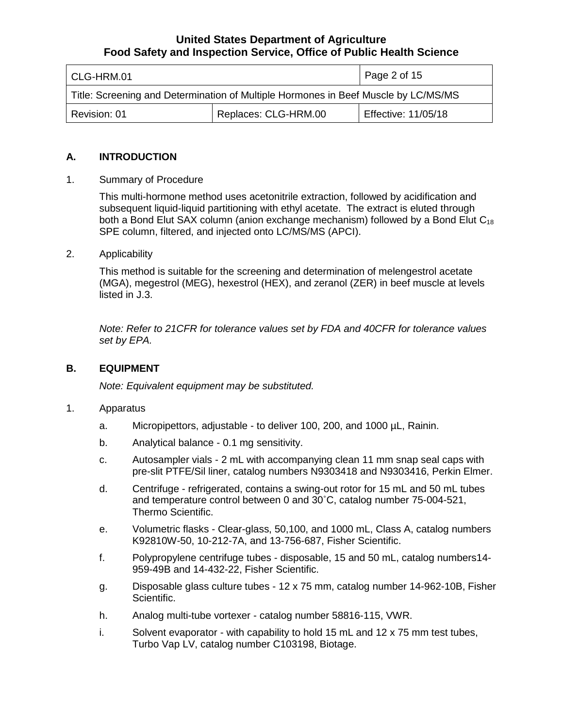| CLG-HRM.01                                                                         |  | Page 2 of 15               |  |
|------------------------------------------------------------------------------------|--|----------------------------|--|
| Title: Screening and Determination of Multiple Hormones in Beef Muscle by LC/MS/MS |  |                            |  |
| Replaces: CLG-HRM.00<br>Revision: 01                                               |  | <b>Effective: 11/05/18</b> |  |

## **A. INTRODUCTION**

1. Summary of Procedure

 subsequent liquid-liquid partitioning with ethyl acetate. The extract is eluted through SPE column, filtered, and injected onto LC/MS/MS (APCI). This multi-hormone method uses acetonitrile extraction, followed by acidification and both a Bond Elut SAX column (anion exchange mechanism) followed by a Bond Elut  $C_{18}$ 

2. Applicability

 (MGA), megestrol (MEG), hexestrol (HEX), and zeranol (ZER) in beef muscle at levels This method is suitable for the screening and determination of melengestrol acetate listed in J.3.

 *Note: Refer to 21CFR for tolerance values set by FDA and 40CFR for tolerance values set by EPA.* 

# **B. EQUIPMENT**

*Note: Equivalent equipment may be substituted.* 

## 1. Apparatus

- a. Micropipettors, adjustable to deliver 100, 200, and 1000 µL, Rainin.
- Analytical balance 0.1 mg sensitivity.
- b. Analytical balance 0.1 mg sensitivity.<br>c. Autosampler vials 2 mL with accompanying clean 11 mm snap seal caps with pre-slit PTFE/Sil liner, catalog numbers N9303418 and N9303416, Perkin Elmer.
- d. Centrifuge refrigerated, contains a swing-out rotor for 15 mL and 50 mL tubes and temperature control between 0 and 30˚C, catalog number 75-004-521, Thermo Scientific.
- e. Volumetric flasks Clear-glass, 50,100, and 1000 mL, Class A, catalog numbers K92810W-50, 10-212-7A, and 13-756-687, Fisher Scientific.
- f. Polypropylene centrifuge tubes disposable, 15 and 50 mL, catalog numbers14- 959-49B and 14-432-22, Fisher Scientific.
- g. Disposable glass culture tubes 12 x 75 mm, catalog number 14-962-10B, Fisher Scientific.
- h. Analog multi-tube vortexer catalog number 58816-115, VWR.
- i. Solvent evaporator with capability to hold 15 mL and 12 x 75 mm test tubes, Turbo Vap LV, catalog number C103198, Biotage.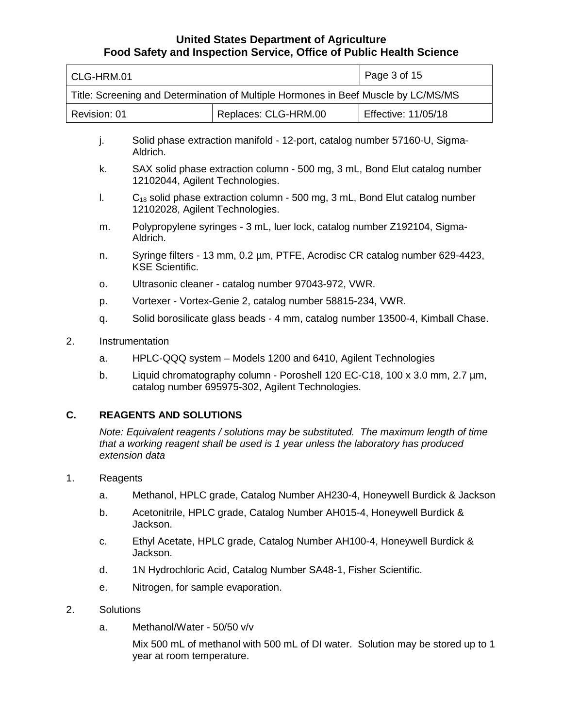|                                                                                             | CLG-HRM.01                                                                                                               |                                                                                                                                |                                                                                      | Page 3 of 15        |
|---------------------------------------------------------------------------------------------|--------------------------------------------------------------------------------------------------------------------------|--------------------------------------------------------------------------------------------------------------------------------|--------------------------------------------------------------------------------------|---------------------|
| Title: Screening and Determination of Multiple Hormones in Beef Muscle by LC/MS/MS          |                                                                                                                          |                                                                                                                                |                                                                                      |                     |
|                                                                                             | Revision: 01                                                                                                             |                                                                                                                                | Replaces: CLG-HRM.00                                                                 | Effective: 11/05/18 |
| Solid phase extraction manifold - 12-port, catalog number 57160-U, Sigma-<br>j.<br>Aldrich. |                                                                                                                          |                                                                                                                                |                                                                                      |                     |
|                                                                                             | k.                                                                                                                       | 12102044, Agilent Technologies.                                                                                                | SAX solid phase extraction column - 500 mg, 3 mL, Bond Elut catalog number           |                     |
|                                                                                             | I.<br>$C_{18}$ solid phase extraction column - 500 mg, 3 mL, Bond Elut catalog number<br>12102028, Agilent Technologies. |                                                                                                                                |                                                                                      |                     |
|                                                                                             | m.                                                                                                                       | Polypropylene syringes - 3 mL, luer lock, catalog number Z192104, Sigma-<br>Aldrich.                                           |                                                                                      |                     |
|                                                                                             | n.                                                                                                                       | Syringe filters - 13 mm, 0.2 µm, PTFE, Acrodisc CR catalog number 629-4423,<br><b>KSE Scientific.</b>                          |                                                                                      |                     |
|                                                                                             | O <sub>1</sub>                                                                                                           | Ultrasonic cleaner - catalog number 97043-972, VWR.                                                                            |                                                                                      |                     |
|                                                                                             | p.                                                                                                                       | Vortexer - Vortex-Genie 2, catalog number 58815-234, VWR.                                                                      |                                                                                      |                     |
|                                                                                             | q.                                                                                                                       | Solid borosilicate glass beads - 4 mm, catalog number 13500-4, Kimball Chase.                                                  |                                                                                      |                     |
| 2.<br>Instrumentation                                                                       |                                                                                                                          |                                                                                                                                |                                                                                      |                     |
|                                                                                             | a.                                                                                                                       | HPLC-QQQ system - Models 1200 and 6410, Agilent Technologies                                                                   |                                                                                      |                     |
|                                                                                             | b.                                                                                                                       | Liquid chromatography column - Poroshell 120 EC-C18, 100 x 3.0 mm, 2.7 um,<br>catalog number 695975-302, Agilent Technologies. |                                                                                      |                     |
| C.                                                                                          |                                                                                                                          | <b>REAGENTS AND SOLUTIONS</b>                                                                                                  |                                                                                      |                     |
|                                                                                             |                                                                                                                          |                                                                                                                                | Note: Equivalent reagents / solutions may be substituted. The maximum length of time |                     |

*that a working reagent shall be used is 1 year unless the laboratory has produced extension data* 

- 1. Reagents
	- a. Methanol, HPLC grade, Catalog Number AH230-4, Honeywell Burdick & Jackson
	- b. Acetonitrile, HPLC grade, Catalog Number AH015-4, Honeywell Burdick & Jackson.
	- c. Ethyl Acetate, HPLC grade, Catalog Number AH100-4, Honeywell Burdick & Jackson.
	- d. 1N Hydrochloric Acid, Catalog Number SA48-1, Fisher Scientific.
	- e. Nitrogen, for sample evaporation.

#### 2. Solutions

a. Methanol/Water - 50/50 v/v

 Mix 500 mL of methanol with 500 mL of DI water. Solution may be stored up to 1 year at room temperature.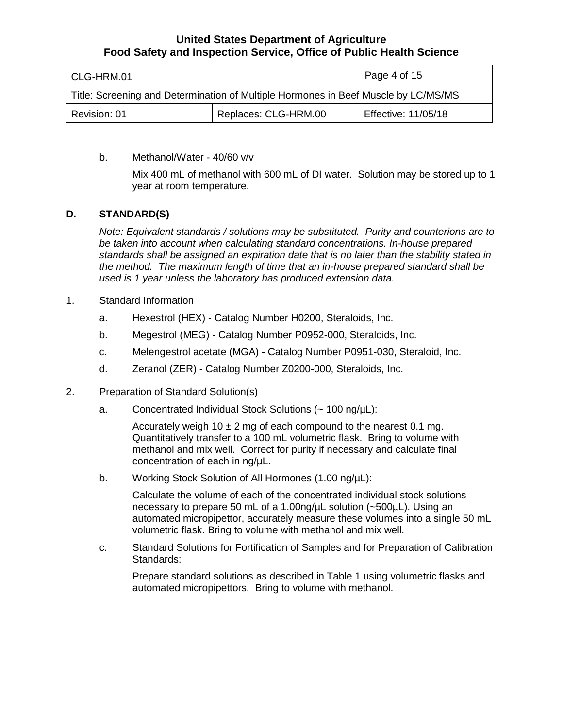| l CLG-HRM.01                                                                       |  | Page 4 of 15        |
|------------------------------------------------------------------------------------|--|---------------------|
| Title: Screening and Determination of Multiple Hormones in Beef Muscle by LC/MS/MS |  |                     |
| Replaces: CLG-HRM.00<br>Revision: 01                                               |  | Effective: 11/05/18 |

## b. Methanol/Water - 40/60 v/v

Mix 400 mL of methanol with 600 mL of DI water. Solution may be stored up to 1 year at room temperature.

## **D. STANDARD(S)**

 *Note: Equivalent standards / solutions may be substituted. Purity and counterions are to the method. The maximum length of time that an in-house prepared standard shall be be taken into account when calculating standard concentrations. In-house prepared standards shall be assigned an expiration date that is no later than the stability stated in used is 1 year unless the laboratory has produced extension data.* 

- 1. Standard Information
	- a. Hexestrol (HEX) Catalog Number H0200, Steraloids, Inc.
	- b. Megestrol (MEG) Catalog Number P0952-000, Steraloids, Inc.
	- c. Melengestrol acetate (MGA) Catalog Number P0951-030, Steraloid, Inc.
	- d. Zeranol (ZER) Catalog Number Z0200-000, Steraloids, Inc.
- 2. Preparation of Standard Solution(s)
	- a. Concentrated Individual Stock Solutions (~ 100 ng/µL):

Accurately weigh 10  $\pm$  2 mg of each compound to the nearest 0.1 mg. Quantitatively transfer to a 100 mL volumetric flask. Bring to volume with methanol and mix well. Correct for purity if necessary and calculate final concentration of each in ng/µL.

b. Working Stock Solution of All Hormones (1.00 ng/ $\mu$ L):

volumetric flask. Bring to volume with methanol and mix well. Calculate the volume of each of the concentrated individual stock solutions necessary to prepare 50 mL of a 1.00ng/µL solution (~500µL). Using an automated micropipettor, accurately measure these volumes into a single 50 mL

c. Standard Solutions for Fortification of Samples and for Preparation of Calibration Standards:

 automated micropipettors. Bring to volume with methanol. Prepare standard solutions as described in Table 1 using volumetric flasks and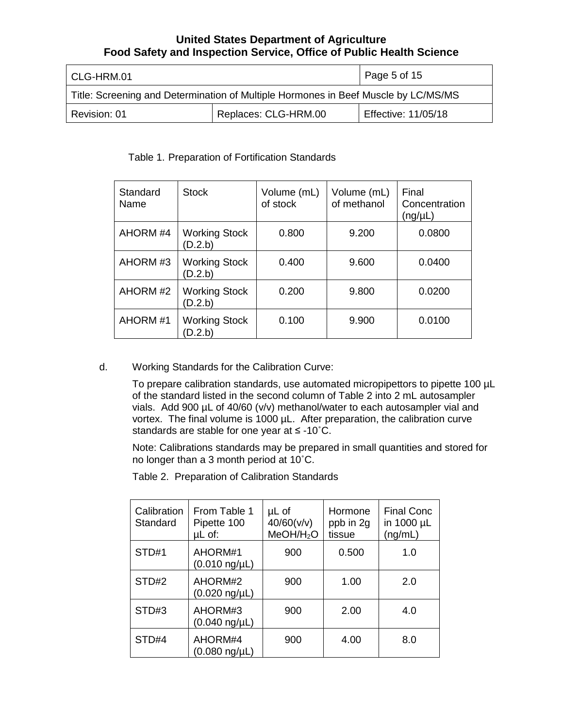| CLG-HRM.01                                                                         |  | Page 5 of 15        |
|------------------------------------------------------------------------------------|--|---------------------|
| Title: Screening and Determination of Multiple Hormones in Beef Muscle by LC/MS/MS |  |                     |
| Replaces: CLG-HRM.00<br>Revision: 01                                               |  | Effective: 11/05/18 |

## Table 1. Preparation of Fortification Standards

| Standard<br>Name | <b>Stock</b>                    | Volume (mL)<br>of stock | Volume (mL)<br>of methanol | Final<br>Concentration<br>(ng/µL) |
|------------------|---------------------------------|-------------------------|----------------------------|-----------------------------------|
| AHORM #4         | <b>Working Stock</b><br>(D.2.b) | 0.800                   | 9.200                      | 0.0800                            |
| AHORM #3         | <b>Working Stock</b><br>(D.2.b) | 0.400                   | 9.600                      | 0.0400                            |
| AHORM#2          | <b>Working Stock</b><br>(D.2.b) | 0.200                   | 9.800                      | 0.0200                            |
| AHORM#1          | <b>Working Stock</b><br>(D.2.b) | 0.100                   | 9.900                      | 0.0100                            |

d. Working Standards for the Calibration Curve:

 vortex. The final volume is 1000 µL. After preparation, the calibration curve standards are stable for one year at ≤ -10˚C. To prepare calibration standards, use automated micropipettors to pipette 100 µL of the standard listed in the second column of Table 2 into 2 mL autosampler vials. Add 900 µL of 40/60 (v/v) methanol/water to each autosampler vial and

Note: Calibrations standards may be prepared in small quantities and stored for no longer than a 3 month period at 10˚C.

Table 2. Preparation of Calibration Standards

| Calibration<br>Standard | From Table 1<br>Pipette 100<br>uL of: | µL of<br>40/60(v/v)<br>MeOH/H <sub>2</sub> O | Hormone<br>ppb in 2g<br>tissue | <b>Final Conc</b><br>in 1000 µL<br>(ng/mL) |
|-------------------------|---------------------------------------|----------------------------------------------|--------------------------------|--------------------------------------------|
| STD#1                   | AHORM#1<br>$(0.010 \text{ ng/}\mu L)$ | 900                                          | 0.500                          | 1.0                                        |
| STD#2                   | AHORM#2<br>(0.020 ng/µL)              | 900                                          | 1.00                           | 2.0                                        |
| STD#3                   | AHORM#3<br>(0.040 ng/µL)              | 900                                          | 2.00                           | 4.0                                        |
| STD#4                   | AHORM#4<br>(0.080 ng/µL)              | 900                                          | 4.00                           | 8.0                                        |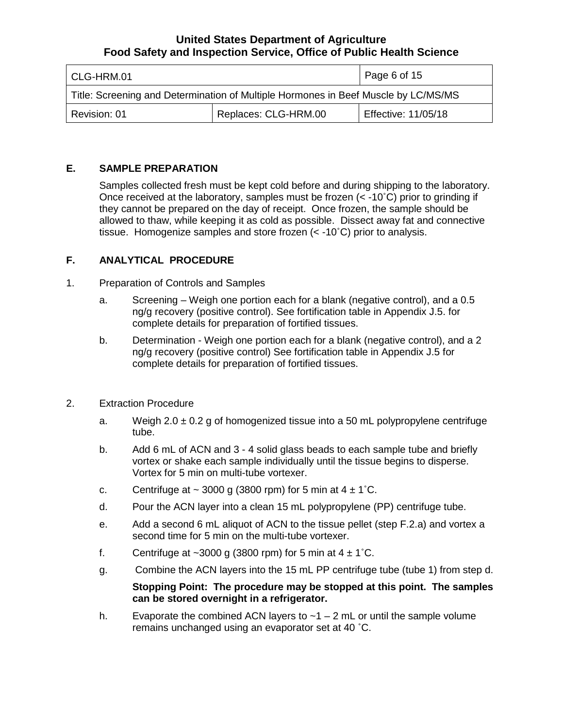| CLG-HRM.01                                                                         |  | Page 6 of 15        |
|------------------------------------------------------------------------------------|--|---------------------|
| Title: Screening and Determination of Multiple Hormones in Beef Muscle by LC/MS/MS |  |                     |
| Replaces: CLG-HRM.00<br>Revision: 01                                               |  | Effective: 11/05/18 |

## **E. SAMPLE PREPARATION**

Samples collected fresh must be kept cold before and during shipping to the laboratory. they cannot be prepared on the day of receipt. Once frozen, the sample should be Once received at the laboratory, samples must be frozen  $(< -10°C)$  prior to grinding if allowed to thaw, while keeping it as cold as possible. Dissect away fat and connective tissue. Homogenize samples and store frozen (< -10˚C) prior to analysis.

## **F. ANALYTICAL PROCEDURE**

- 1. Preparation of Controls and Samples
	- a. Screening Weigh one portion each for a blank (negative control), and a 0.5 ng/g recovery (positive control). See fortification table in Appendix J.5. for complete details for preparation of fortified tissues.
	- b. Determination Weigh one portion each for a blank (negative control), and a 2 complete details for preparation of fortified tissues. ng/g recovery (positive control) See fortification table in Appendix J.5 for
- 2. Extraction Procedure
	- a. Weigh 2.0 ± 0.2 g of homogenized tissue into a 50 mL polypropylene centrifuge tube.
	- tube. b. Add 6 mL of ACN and 3 4 solid glass beads to each sample tube and briefly vortex or shake each sample individually until the tissue begins to disperse. Vortex for 5 min on multi-tube vortexer.
	- c. Centrifuge at  $\sim$  3000 g (3800 rpm) for 5 min at 4  $\pm$  1 $^{\circ}$ C.
	- d. Pour the ACN layer into a clean 15 mL polypropylene (PP) centrifuge tube.
	- e. Add a second 6 mL aliquot of ACN to the tissue pellet (step F.2.a) and vortex a second time for 5 min on the multi-tube vortexer.
	- f. Centrifuge at  $\sim$ 3000 g (3800 rpm) for 5 min at 4  $\pm$  1 $^{\circ}$ C.
	- g. g. Combine the ACN layers into the 15 mL PP centrifuge tube (tube 1) from step d.

## **Stopping Point: The procedure may be stopped at this point. The samples can be stored overnight in a refrigerator.**

 remains unchanged using an evaporator set at 40 ˚C. h. Evaporate the combined ACN layers to  $\sim$  1 – 2 mL or until the sample volume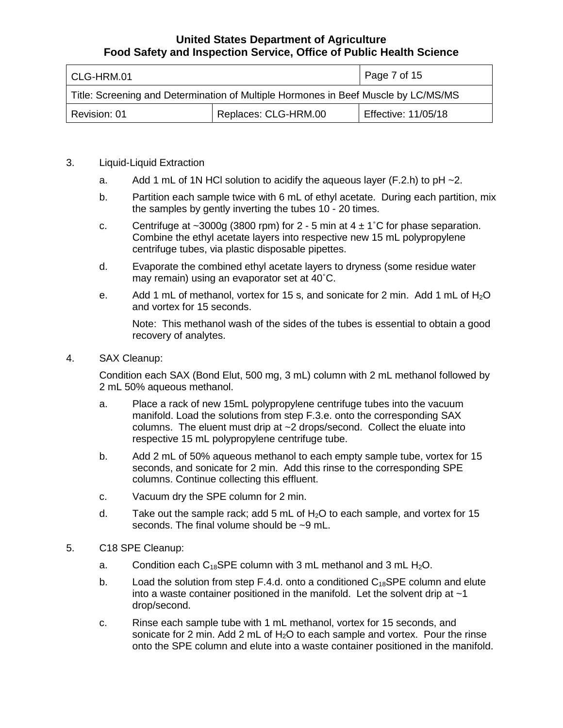| l CLG-HRM.01                                                                       |  | $\vert$ Page 7 of 15       |
|------------------------------------------------------------------------------------|--|----------------------------|
| Title: Screening and Determination of Multiple Hormones in Beef Muscle by LC/MS/MS |  |                            |
| Replaces: CLG-HRM.00<br>Revision: 01                                               |  | <b>Effective: 11/05/18</b> |

## 3. Liquid-Liquid Extraction

- a. Add 1 mL of 1N HCl solution to acidify the aqueous layer  $(F.2.h)$  to pH  $\sim$ 2.
- the samples by gently inverting the tubes 10 20 times. b. Partition each sample twice with 6 mL of ethyl acetate. During each partition, mix
- c. Centrifuge at  $\sim$ 3000g (3800 rpm) for 2 5 min at 4  $\pm$  1°C for phase separation. Combine the ethyl acetate layers into respective new 15 mL polypropylene centrifuge tubes, via plastic disposable pipettes.
- d. Evaporate the combined ethyl acetate layers to dryness (some residue water may remain) using an evaporator set at 40˚C.
- e. Add 1 mL of methanol, vortex for 15 s, and sonicate for 2 min. Add 1 mL of  $H_2O$ and vortex for 15 seconds.

 Note: This methanol wash of the sides of the tubes is essential to obtain a good recovery of analytes.

4. SAX Cleanup:

 Condition each SAX (Bond Elut, 500 mg, 3 mL) column with 2 mL methanol followed by 2 mL 50% aqueous methanol.

- manifold. Load the solutions from step F.3.e. onto the corresponding SAX columns. The eluent must drip at ~2 drops/second. Collect the eluate into a. Place a rack of new 15mL polypropylene centrifuge tubes into the vacuum respective 15 mL polypropylene centrifuge tube.
- b. Add 2 mL of 50% aqueous methanol to each empty sample tube, vortex for 15 seconds, and sonicate for 2 min. Add this rinse to the corresponding SPE columns. Continue collecting this effluent.
- c. Vacuum dry the SPE column for 2 min.
- d. Take out the sample rack; add 5 mL of  $H_2O$  to each sample, and vortex for 15 seconds. The final volume should be ~9 mL.
- 5. C18 SPE Cleanup:
	- a. Condition each C<sub>18</sub>SPE column with 3 mL methanol and 3 mL H<sub>2</sub>O.
	- b. into a waste container positioned in the manifold. Let the solvent drip at ~1 Load the solution from step F.4.d. onto a conditioned  $C_{18}$ SPE column and elute drop/second.
	- c. Rinse each sample tube with 1 mL methanol, vortex for 15 seconds, and sonicate for 2 min. Add 2 mL of  $H<sub>2</sub>O$  to each sample and vortex. Pour the rinse onto the SPE column and elute into a waste container positioned in the manifold.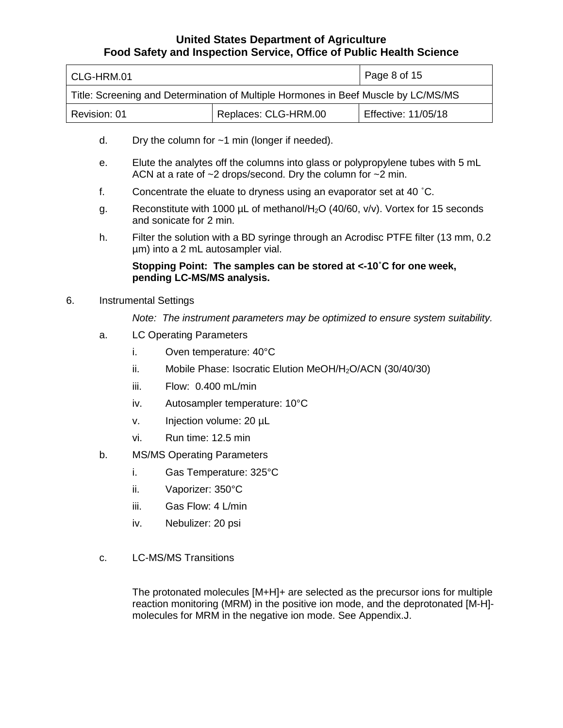| l CLG-HRM.01                                                                       | Page 8 of 15 |                     |
|------------------------------------------------------------------------------------|--------------|---------------------|
| Title: Screening and Determination of Multiple Hormones in Beef Muscle by LC/MS/MS |              |                     |
| Replaces: CLG-HRM.00<br>Revision: 01                                               |              | Effective: 11/05/18 |

- d. Dry the column for  $\sim$ 1 min (longer if needed).
- e. Elute the analytes off the columns into glass or polypropylene tubes with 5 mL ACN at a rate of ~2 drops/second. Dry the column for ~2 min.
- f. Concentrate the eluate to dryness using an evaporator set at 40 ˚C.
- g. Reconstitute with 1000  $\mu$ L of methanol/H<sub>2</sub>O (40/60, v/v). Vortex for 15 seconds and sonicate for 2 min.
- h. Filter the solution with a BD syringe through an Acrodisc PTFE filter (13 mm, 0.2 µm) into a 2 mL autosampler vial.

## **Stopping Point: The samples can be stored at <-10˚C for one week, pending LC-MS/MS analysis.**

## 6. Instrumental Settings

*Note: The instrument parameters may be optimized to ensure system suitability.* 

- a. LC Operating Parameters
	- i. Oven temperature: 40°C
	- ii. Mobile Phase: Isocratic Elution MeOH/H<sub>2</sub>O/ACN (30/40/30)
	- iii. Flow: 0.400 mL/min
	- iv. Autosampler temperature: 10°C
	- v. Injection volume: 20 µL
	- vi. Run time: 12.5 min
- b. MS/MS Operating Parameters
	- i. Gas Temperature: 325°C
	- ii. Vaporizer: 350°C
	- iii. Gas Flow: 4 L/min
	- iv. Nebulizer: 20 psi
- c. LC-MS/MS Transitions

The protonated molecules [M+H]+ are selected as the precursor ions for multiple reaction monitoring (MRM) in the positive ion mode, and the deprotonated [M-H] molecules for MRM in the negative ion mode. See Appendix.J.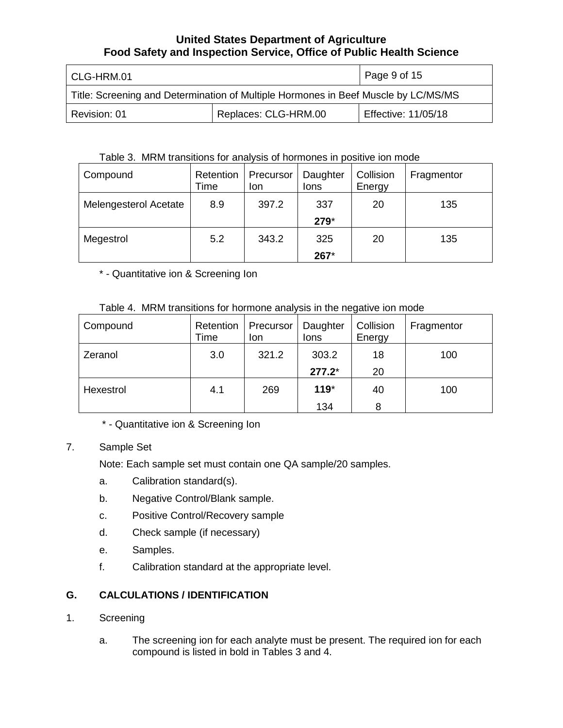| l CLG-HRM.01                                                                       |  | Page 9 of 15        |
|------------------------------------------------------------------------------------|--|---------------------|
| Title: Screening and Determination of Multiple Hormones in Beef Muscle by LC/MS/MS |  |                     |
| Replaces: CLG-HRM.00<br>Revision: 01                                               |  | Effective: 11/05/18 |

## Table 3. MRM transitions for analysis of hormones in positive ion mode

| Compound              | Retention<br>Time | Precursor<br>lon | Daughter<br>lons | Collision<br>Energy | Fragmentor |
|-----------------------|-------------------|------------------|------------------|---------------------|------------|
| Melengesterol Acetate | 8.9               | 397.2            | 337<br>279*      | 20                  | 135        |
| Megestrol             | 5.2               | 343.2            | 325<br>267*      | 20                  | 135        |

\* - Quantitative ion & Screening Ion

# Table 4. MRM transitions for hormone analysis in the negative ion mode

| Compound  | Retention<br>Time | Precursor<br>lon | Daughter<br>lons | Collision<br>Energy | Fragmentor |
|-----------|-------------------|------------------|------------------|---------------------|------------|
| Zeranol   | 3.0               | 321.2            | 303.2            | 18                  | 100        |
|           |                   |                  | $277.2*$         | 20                  |            |
| Hexestrol | 4.1               | 269              | $119*$           | 40                  | 100        |
|           |                   |                  | 134              | 8                   |            |

\* - Quantitative ion & Screening Ion

# 7. Sample Set

Note: Each sample set must contain one QA sample/20 samples.

- a. Calibration standard(s).
- b. Negative Control/Blank sample.
- c. Positive Control/Recovery sample
- d. Check sample (if necessary)
- e. Samples.
- f. Calibration standard at the appropriate level.

# **G. CALCULATIONS / IDENTIFICATION**

- Screening
- compound is listed in bold in Tables 3 and 4. 1. Screening<br>a. The screening ion for each analyte must be present. The required ion for each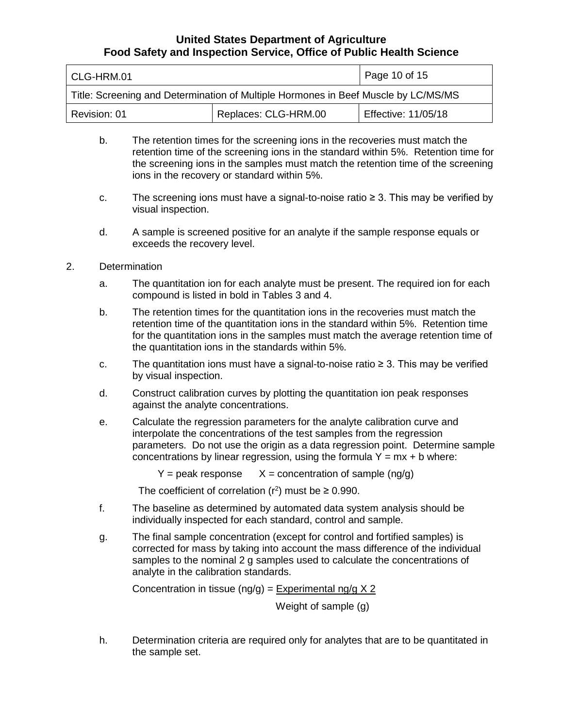| l CLG-HRM.01                                                                       | Page 10 of 15 |                     |  |
|------------------------------------------------------------------------------------|---------------|---------------------|--|
| Title: Screening and Determination of Multiple Hormones in Beef Muscle by LC/MS/MS |               |                     |  |
| Replaces: CLG-HRM.00<br>Revision: 01                                               |               | Effective: 11/05/18 |  |

- retention time of the screening ions in the standard within 5%. Retention time for the screening ions in the samples must match the retention time of the screening b. The retention times for the screening ions in the recoveries must match the ions in the recovery or standard within 5%.
- c. The screening ions must have a signal-to-noise ratio ≥ 3. This may be verified by visual inspection.
- d. A sample is screened positive for an analyte if the sample response equals or exceeds the recovery level.
- 2. Determination
	- a. The quantitation ion for each analyte must be present. The required ion for each compound is listed in bold in Tables 3 and 4.
	- b. The retention times for the quantitation ions in the recoveries must match the retention time of the quantitation ions in the standard within 5%. Retention time for the quantitation ions in the samples must match the average retention time of the quantitation ions in the standards within 5%.
	- c. The quantitation ions must have a signal-to-noise ratio ≥ 3. This may be verified by visual inspection.
	- d. Construct calibration curves by plotting the quantitation ion peak responses against the analyte concentrations.
	- e. Calculate the regression parameters for the analyte calibration curve and interpolate the concentrations of the test samples from the regression concentrations by linear regression, using the formula  $Y = mx + b$  where: parameters. Do not use the origin as a data regression point. Determine sample

 $Y =$  peak response  $X =$  concentration of sample (ng/g)

The coefficient of correlation  $(r^2)$  must be  $\geq 0.990$ .

- individually inspected for each standard, control and sample. f. The baseline as determined by automated data system analysis should be
- g. The final sample concentration (except for control and fortified samples) is corrected for mass by taking into account the mass difference of the individual samples to the nominal 2 g samples used to calculate the concentrations of analyte in the calibration standards.

Concentration in tissue (ng/g) = Experimental ng/g  $X$  2

Weight of sample (g)

h. Determination criteria are required only for analytes that are to be quantitated in the sample set.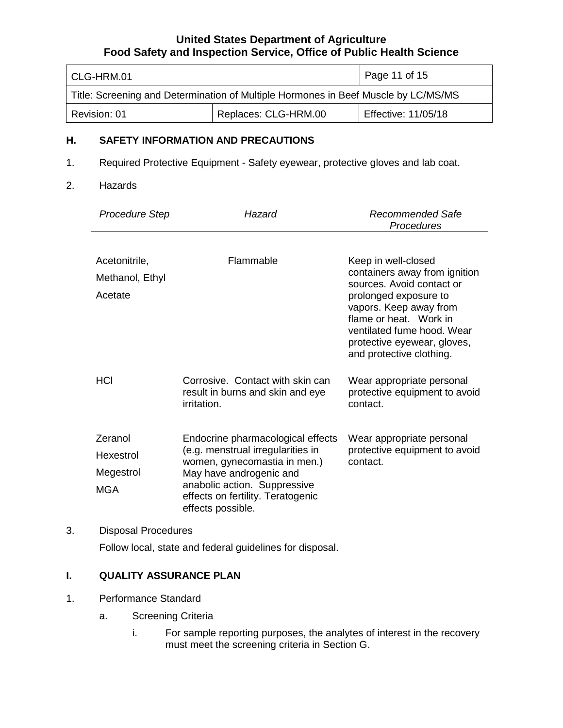| l CLG-HRM.01                                                                       | Page 11 of 15 |                     |  |
|------------------------------------------------------------------------------------|---------------|---------------------|--|
| Title: Screening and Determination of Multiple Hormones in Beef Muscle by LC/MS/MS |               |                     |  |
| Replaces: CLG-HRM.00<br>Revision: 01                                               |               | Effective: 11/05/18 |  |

## **H. SAFETY INFORMATION AND PRECAUTIONS**

- 1. Required Protective Equipment Safety eyewear, protective gloves and lab coat.
- 2. Hazards

| <b>Procedure Step</b>                           | Hazard                                                                                                                                                                                                                      | Recommended Safe<br>Procedures                                                                                                                                                                                                                          |
|-------------------------------------------------|-----------------------------------------------------------------------------------------------------------------------------------------------------------------------------------------------------------------------------|---------------------------------------------------------------------------------------------------------------------------------------------------------------------------------------------------------------------------------------------------------|
| Acetonitrile,<br>Methanol, Ethyl<br>Acetate     | Flammable                                                                                                                                                                                                                   | Keep in well-closed<br>containers away from ignition<br>sources. Avoid contact or<br>prolonged exposure to<br>vapors. Keep away from<br>flame or heat. Work in<br>ventilated fume hood. Wear<br>protective eyewear, gloves,<br>and protective clothing. |
| <b>HCI</b>                                      | Corrosive. Contact with skin can<br>result in burns and skin and eye<br><i>irritation.</i>                                                                                                                                  | Wear appropriate personal<br>protective equipment to avoid<br>contact.                                                                                                                                                                                  |
| Zeranol<br>Hexestrol<br>Megestrol<br><b>MGA</b> | Endocrine pharmacological effects<br>(e.g. menstrual irregularities in<br>women, gynecomastia in men.)<br>May have androgenic and<br>anabolic action. Suppressive<br>effects on fertility. Teratogenic<br>effects possible. | Wear appropriate personal<br>protective equipment to avoid<br>contact.                                                                                                                                                                                  |

# Follow local, state and federal guidelines for disposal.

# **I. QUALITY ASSURANCE PLAN**

- 1. Performance Standard
	- a. Screening Criteria
		- i. For sample reporting purposes, the analytes of interest in the recovery must meet the screening criteria in Section G.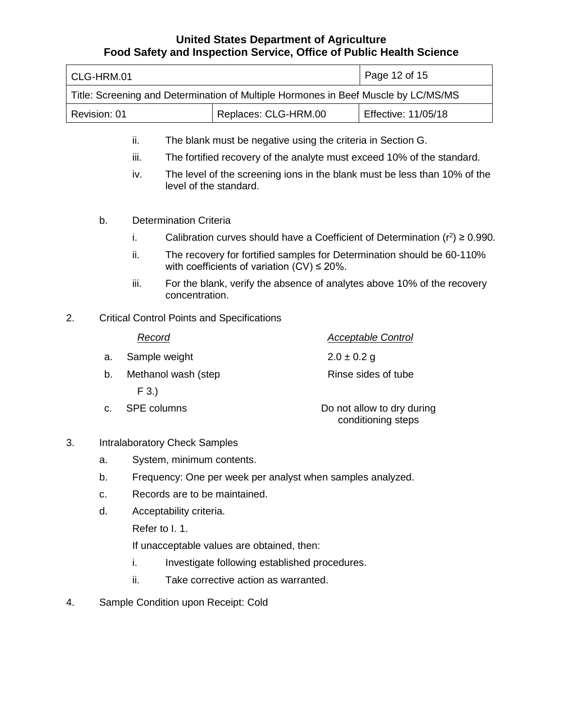| CLG-HRM.01                                                                         | Page 12 of 15        |                            |  |
|------------------------------------------------------------------------------------|----------------------|----------------------------|--|
| Title: Screening and Determination of Multiple Hormones in Beef Muscle by LC/MS/MS |                      |                            |  |
| Revision: 01                                                                       | Replaces: CLG-HRM.00 | <b>Effective: 11/05/18</b> |  |

- The blank must be negative using the criteria in Section G.
- ii. The blank must be negative using the criteria in Section G.<br>iii. The fortified recovery of the analyte must exceed 10% of the standard.
- iv. The level of the screening ions in the blank must be less than 10% of the level of the standard.
- b. Determination Criteria
	- i. Calibration curves should have a Coefficient of Determination  $(r^2) \ge 0.990$ .
	- ii. The recovery for fortified samples for Determination should be 60-110% with coefficients of variation  $(CV) \le 20\%$ .
	- iii. For the blank, verify the absence of analytes above 10% of the recovery concentration.
- 2. Critical Control Points and Specifications

|    | Record              | <b>Acceptable Control</b>                        |
|----|---------------------|--------------------------------------------------|
| a. | Sample weight       | $2.0 \pm 0.2$ g                                  |
| b. | Methanol wash (step | Rinse sides of tube                              |
|    | $F$ 3.)             |                                                  |
| C. | <b>SPE columns</b>  | Do not allow to dry during<br>conditioning steps |

- 3. Intralaboratory Check Samples
	- a. System, minimum contents.
	- b. Frequency: One per week per analyst when samples analyzed.
	- c. Records are to be maintained.
	- d. Acceptability criteria.
		- Refer to I. 1.

If unacceptable values are obtained, then:

- i. Investigate following established procedures.
- ii. Take corrective action as warranted.
- 4. Sample Condition upon Receipt: Cold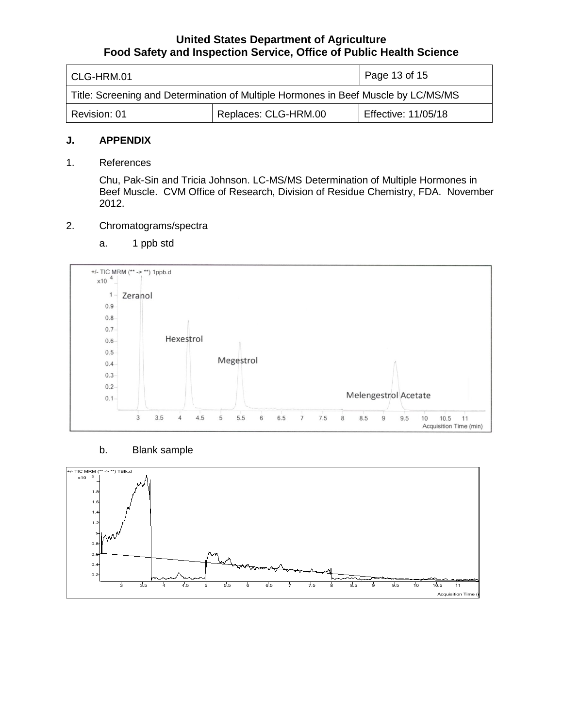| l CLG-HRM.01                                                                       | Page 13 of 15 |                     |  |
|------------------------------------------------------------------------------------|---------------|---------------------|--|
| Title: Screening and Determination of Multiple Hormones in Beef Muscle by LC/MS/MS |               |                     |  |
| Replaces: CLG-HRM.00<br>Revision: 01                                               |               | Effective: 11/05/18 |  |

#### **J. APPENDIX**

1. References

Chu, Pak-Sin and Tricia Johnson. LC-MS/MS Determination of Multiple Hormones in Beef Muscle. CVM Office of Research, Division of Residue Chemistry, FDA. November 2012.

#### 2. Chromatograms/spectra

a. 1 ppb std



## b. Blank sample

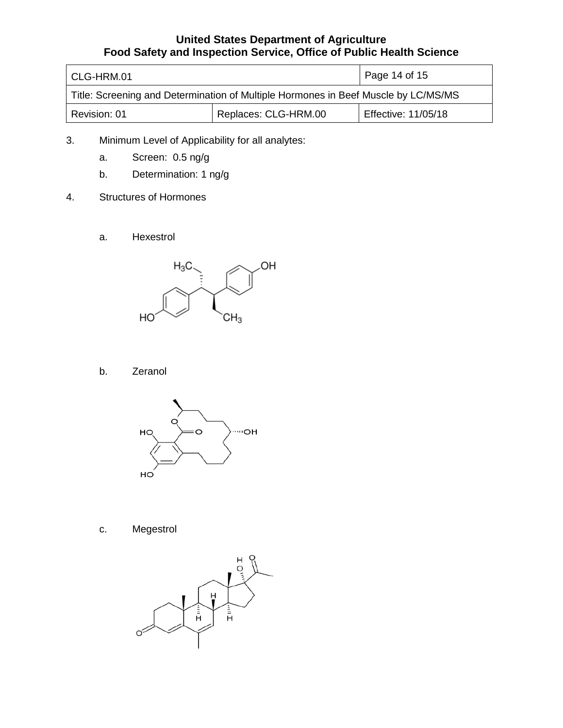| CLG-HRM.01                                                                         | Page 14 of 15        |                            |  |
|------------------------------------------------------------------------------------|----------------------|----------------------------|--|
| Title: Screening and Determination of Multiple Hormones in Beef Muscle by LC/MS/MS |                      |                            |  |
| Revision: 01                                                                       | Replaces: CLG-HRM.00 | <b>Effective: 11/05/18</b> |  |

- 3. Minimum Level of Applicability for all analytes:
	- a. Screen: 0.5 ng/g
	- Determination: 1 ng/g
- b. Determination: 1<br>4. Structures of Hormones
	- a. Hexestrol



b. Zeranol



c. Megestrol